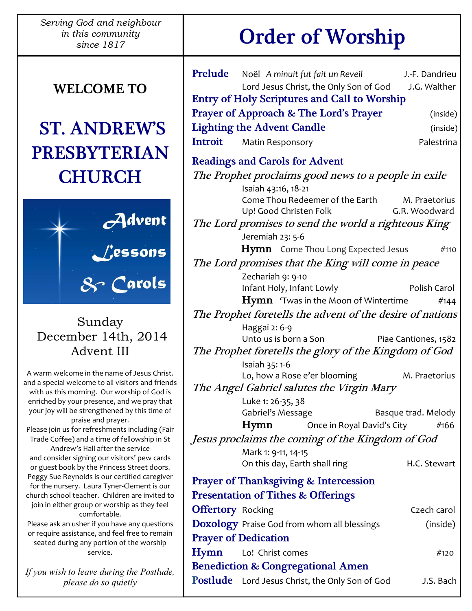Serving God and neighbour in this community

# WELCOME TO

# ST. ANDREW'S PRESBYTERIAN **CHURCH**



# Sunday December 14th, 2014 Advent III

A warm welcome in the name of Jesus Christ. and a special welcome to all visitors and friends with us this morning. Our worship of God is enriched by your presence, and we pray that your joy will be strengthened by this time of praise and prayer. Please join us for refreshments including (Fair Trade Coffee) and a time of fellowship in St Andrew's Hall after the service and consider signing our visitors' pew cards or guest book by the Princess Street doors. Peggy Sue Reynolds is our certified caregiver for the nursery. Laura Tyner-Clement is our church school teacher. Children are invited to join in either group or worship as they feel comfortable. Please ask an usher if you have any questions or require assistance, and feel free to remain

seated during any portion of the worship service.

If you wish to leave during the Postlude, please do so quietly

# since 1817 Order of Worship

|                                                               | Prelude Noël A minuit fut fait un Reveil<br>Lord Jesus Christ, the Only Son of God | J.-F. Dandrieu<br>J.G. Walther |  |
|---------------------------------------------------------------|------------------------------------------------------------------------------------|--------------------------------|--|
|                                                               | <b>Entry of Holy Scriptures and Call to Worship</b>                                |                                |  |
| <b>Prayer of Approach &amp; The Lord's Prayer</b><br>(inside) |                                                                                    |                                |  |
|                                                               | <b>Lighting the Advent Candle</b>                                                  | (inside)                       |  |
|                                                               | <b>Introit</b> Matin Responsory                                                    | Palestrina                     |  |
|                                                               |                                                                                    |                                |  |
| <b>Readings and Carols for Advent</b>                         |                                                                                    |                                |  |
|                                                               | The Prophet proclaims good news to a people in exile                               |                                |  |
|                                                               | Isaiah 43:16, 18-21<br>Come Thou Redeemer of the Earth                             | M. Praetorius                  |  |
|                                                               | Up! Good Christen Folk                                                             | G.R. Woodward                  |  |
| The Lord promises to send the world a righteous King          |                                                                                    |                                |  |
|                                                               | Jeremiah 23: 5-6                                                                   |                                |  |
|                                                               | <b>Hymn</b> Come Thou Long Expected Jesus                                          | #110                           |  |
| The Lord promises that the King will come in peace            |                                                                                    |                                |  |
|                                                               | Zechariah 9: 9-10                                                                  |                                |  |
|                                                               | Infant Holy, Infant Lowly                                                          | Polish Carol                   |  |
|                                                               | $\mathbf{Hymn}$ 'Twas in the Moon of Wintertime                                    | #144                           |  |
| The Prophet foretells the advent of the desire of nations     |                                                                                    |                                |  |
|                                                               | Haggai 2: 6-9<br>Unto us is born a Son                                             | Piae Cantiones, 1582           |  |
| The Prophet foretells the glory of the Kingdom of God         |                                                                                    |                                |  |
|                                                               | Isaiah 35: 1-6                                                                     |                                |  |
|                                                               | Lo, how a Rose e'er blooming                                                       | M. Praetorius                  |  |
| The Angel Gabriel salutes the Virgin Mary                     |                                                                                    |                                |  |
|                                                               | Luke 1: 26-35, 38                                                                  |                                |  |
|                                                               | Gabriel's Message                                                                  | Basque trad. Melody            |  |
|                                                               | Hymn<br>Once in Royal David's City                                                 | #166                           |  |
| Jesus proclaims the coming of the Kingdom of God              |                                                                                    |                                |  |
|                                                               | Mark 1: 9-11, 14-15<br>On this day, Earth shall ring                               | H.C. Stewart                   |  |
| <b>Prayer of Thanksgiving &amp; Intercession</b>              |                                                                                    |                                |  |
| <b>Presentation of Tithes &amp; Offerings</b>                 |                                                                                    |                                |  |
| <b>Offertory</b> Rocking                                      |                                                                                    | Czech carol                    |  |
|                                                               | <b>Doxology</b> Praise God from whom all blessings                                 | (inside)                       |  |
| <b>Prayer of Dedication</b>                                   |                                                                                    |                                |  |
| Hymn                                                          | Lo! Christ comes                                                                   | #120                           |  |
| <b>Benediction &amp; Congregational Amen</b>                  |                                                                                    |                                |  |
|                                                               | Postlude Lord Jesus Christ, the Only Son of God                                    | J.S. Bach                      |  |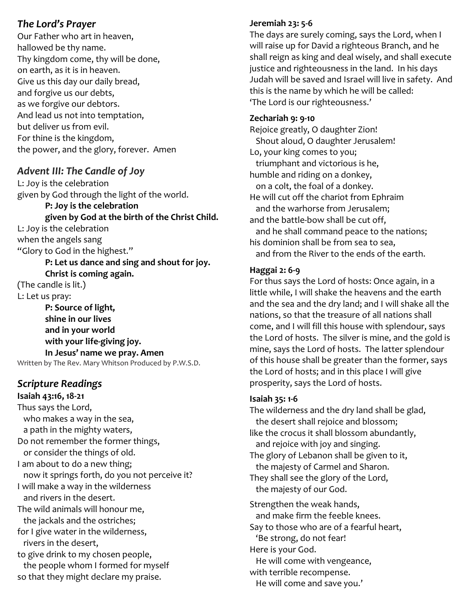#### The Lord's Prayer

Our Father who art in heaven, hallowed be thy name. Thy kingdom come, thy will be done, on earth, as it is in heaven. Give us this day our daily bread, and forgive us our debts, as we forgive our debtors. And lead us not into temptation, but deliver us from evil. For thine is the kingdom, the power, and the glory, forever. Amen

# Advent III: The Candle of Joy

L: Joy is the celebration given by God through the light of the world.

 P: Joy is the celebration given by God at the birth of the Christ Child.

L: Joy is the celebration when the angels sang "Glory to God in the highest."

 P: Let us dance and sing and shout for joy. Christ is coming again.

(The candle is lit.) L: Let us pray:

 P: Source of light, shine in our lives and in your world with your life-giving joy. In Jesus' name we pray. Amen Written by The Rev. Mary Whitson Produced by P.W.S.D.

# Scripture Readings

Isaiah 43:16, 18-21 Thus says the Lord, who makes a way in the sea, a path in the mighty waters, Do not remember the former things, or consider the things of old. I am about to do a new thing; now it springs forth, do you not perceive it? I will make a way in the wilderness and rivers in the desert. The wild animals will honour me, the jackals and the ostriches; for I give water in the wilderness, rivers in the desert, to give drink to my chosen people, the people whom I formed for myself so that they might declare my praise.

#### Jeremiah 23: 5-6

The days are surely coming, says the Lord, when I will raise up for David a righteous Branch, and he shall reign as king and deal wisely, and shall execute justice and righteousness in the land. In his days Judah will be saved and Israel will live in safety. And this is the name by which he will be called: 'The Lord is our righteousness.'

#### Zechariah 9: 9-10

Rejoice greatly, O daughter Zion! Shout aloud, O daughter Jerusalem! Lo, your king comes to you; triumphant and victorious is he, humble and riding on a donkey, on a colt, the foal of a donkey. He will cut off the chariot from Ephraim and the warhorse from Jerusalem; and the battle-bow shall be cut off, and he shall command peace to the nations; his dominion shall be from sea to sea, and from the River to the ends of the earth.

#### Haggai 2: 6-9

For thus says the Lord of hosts: Once again, in a little while, I will shake the heavens and the earth and the sea and the dry land; and I will shake all the nations, so that the treasure of all nations shall come, and I will fill this house with splendour, says the Lord of hosts. The silver is mine, and the gold is mine, says the Lord of hosts. The latter splendour of this house shall be greater than the former, says the Lord of hosts; and in this place I will give prosperity, says the Lord of hosts.

#### Isaiah 35: 1-6

The wilderness and the dry land shall be glad, the desert shall rejoice and blossom; like the crocus it shall blossom abundantly, and rejoice with joy and singing. The glory of Lebanon shall be given to it, the majesty of Carmel and Sharon. They shall see the glory of the Lord, the majesty of our God. Strengthen the weak hands, and make firm the feeble knees. Say to those who are of a fearful heart, 'Be strong, do not fear! Here is your God.

He will come with vengeance,

with terrible recompense.

He will come and save you.'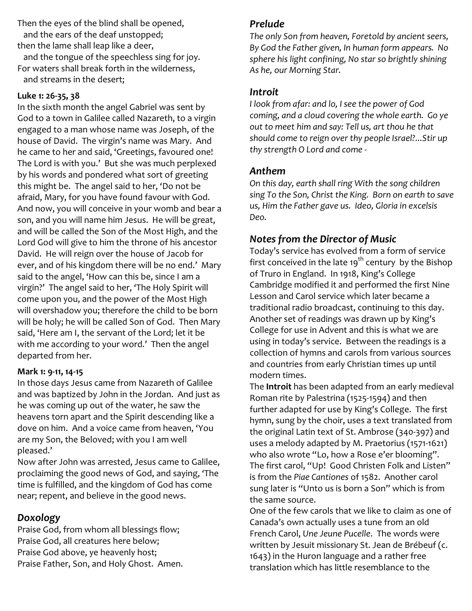Then the eyes of the blind shall be opened, and the ears of the deaf unstopped;

then the lame shall leap like a deer, and the tongue of the speechless sing for joy. For waters shall break forth in the wilderness,

and streams in the desert;

#### Luke 1: 26-35, 38

In the sixth month the angel Gabriel was sent by God to a town in Galilee called Nazareth, to a virgin engaged to a man whose name was Joseph, of the house of David. The virgin's name was Mary. And he came to her and said, 'Greetings, favoured one! The Lord is with you.' But she was much perplexed by his words and pondered what sort of greeting this might be. The angel said to her, 'Do not be afraid, Mary, for you have found favour with God. And now, you will conceive in your womb and bear a son, and you will name him Jesus. He will be great, and will be called the Son of the Most High, and the Lord God will give to him the throne of his ancestor David. He will reign over the house of Jacob for ever, and of his kingdom there will be no end.' Mary said to the angel, 'How can this be, since I am a virgin?' The angel said to her, 'The Holy Spirit will come upon you, and the power of the Most High will overshadow you; therefore the child to be born will be holy; he will be called Son of God. Then Mary said, 'Here am I, the servant of the Lord; let it be with me according to your word.' Then the angel departed from her.

#### Mark 1: 9-11, 14-15

In those days Jesus came from Nazareth of Galilee and was baptized by John in the Jordan. And just as he was coming up out of the water, he saw the heavens torn apart and the Spirit descending like a dove on him. And a voice came from heaven, 'You are my Son, the Beloved; with you I am well pleased.'

Now after John was arrested, Jesus came to Galilee, proclaiming the good news of God, and saying, 'The time is fulfilled, and the kingdom of God has come near; repent, and believe in the good news.

# Doxology

Praise God, from whom all blessings flow; Praise God, all creatures here below; Praise God above, ye heavenly host; Praise Father, Son, and Holy Ghost. Amen.

# Prelude

The only Son from heaven, Foretold by ancient seers, By God the Father given, In human form appears. No sphere his light confining, No star so brightly shining As he, our Morning Star.

#### Introit

I look from afar: and lo, I see the power of God coming, and a cloud covering the whole earth. Go ye out to meet him and say: Tell us, art thou he that should come to reign over thy people Israel?...Stir up thy strength O Lord and come -

# Anthem

On this day, earth shall ring With the song children sing To the Son, Christ the King. Born on earth to save us, Him the Father gave us. Ideo, Gloria in excelsis Deo.

# Notes from the Director of Music

Today's service has evolved from a form of service first conceived in the late  $19<sup>th</sup>$  century by the Bishop of Truro in England. In 1918, King's College Cambridge modified it and performed the first Nine Lesson and Carol service which later became a traditional radio broadcast, continuing to this day. Another set of readings was drawn up by King's College for use in Advent and this is what we are using in today's service. Between the readings is a collection of hymns and carols from various sources and countries from early Christian times up until modern times.

The Introit has been adapted from an early medieval Roman rite by Palestrina (1525-1594) and then further adapted for use by King's College. The first hymn, sung by the choir, uses a text translated from the original Latin text of St. Ambrose (340-397) and uses a melody adapted by M. Praetorius (1571-1621) who also wrote "Lo, how a Rose e'er blooming". The first carol, "Up! Good Christen Folk and Listen" is from the Piae Cantiones of 1582. Another carol sung later is "Unto us is born a Son" which is from the same source.

One of the few carols that we like to claim as one of Canada's own actually uses a tune from an old French Carol, Une Jeune Pucelle. The words were written by Jesuit missionary St. Jean de Brébeuf (c. 1643) in the Huron language and a rather free translation which has little resemblance to the